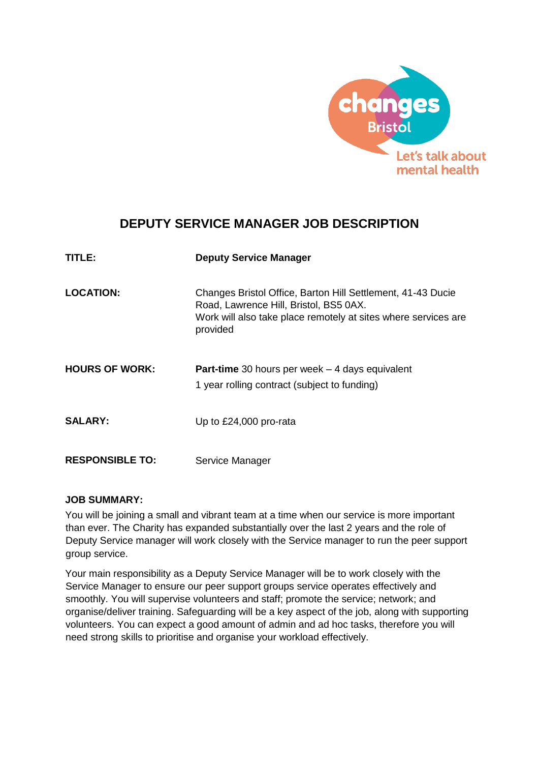

# **DEPUTY SERVICE MANAGER JOB DESCRIPTION**

| TITLE:                 | <b>Deputy Service Manager</b>                                                                                                                                                       |
|------------------------|-------------------------------------------------------------------------------------------------------------------------------------------------------------------------------------|
| <b>LOCATION:</b>       | Changes Bristol Office, Barton Hill Settlement, 41-43 Ducie<br>Road, Lawrence Hill, Bristol, BS5 0AX.<br>Work will also take place remotely at sites where services are<br>provided |
| <b>HOURS OF WORK:</b>  | <b>Part-time</b> 30 hours per week $-$ 4 days equivalent<br>1 year rolling contract (subject to funding)                                                                            |
| <b>SALARY:</b>         | Up to £24,000 pro-rata                                                                                                                                                              |
| <b>RESPONSIBLE TO:</b> | Service Manager                                                                                                                                                                     |

#### **JOB SUMMARY:**

You will be joining a small and vibrant team at a time when our service is more important than ever. The Charity has expanded substantially over the last 2 years and the role of Deputy Service manager will work closely with the Service manager to run the peer support group service.

Your main responsibility as a Deputy Service Manager will be to work closely with the Service Manager to ensure our peer support groups service operates effectively and smoothly. You will supervise volunteers and staff; promote the service; network; and organise/deliver training. Safeguarding will be a key aspect of the job, along with supporting volunteers. You can expect a good amount of admin and ad hoc tasks, therefore you will need strong skills to prioritise and organise your workload effectively.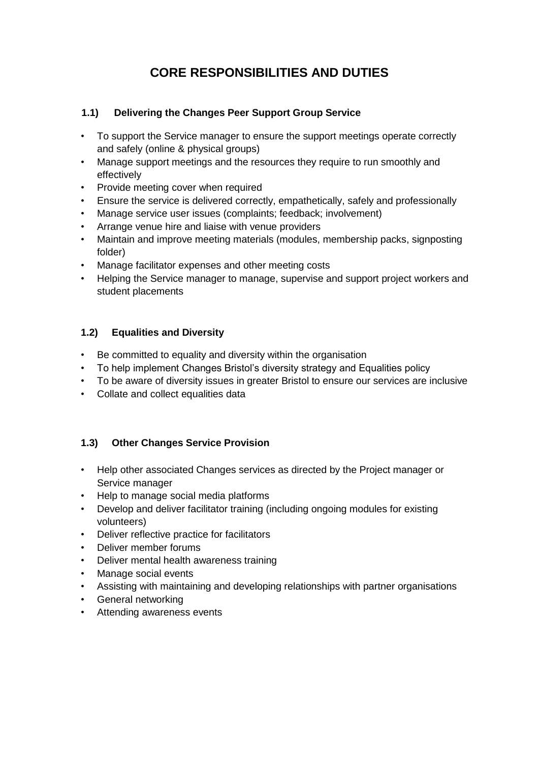# **CORE RESPONSIBILITIES AND DUTIES**

#### **1.1) Delivering the Changes Peer Support Group Service**

- To support the Service manager to ensure the support meetings operate correctly and safely (online & physical groups)
- Manage support meetings and the resources they require to run smoothly and effectively
- Provide meeting cover when required
- Ensure the service is delivered correctly, empathetically, safely and professionally
- Manage service user issues (complaints: feedback; involvement)
- Arrange venue hire and liaise with venue providers
- Maintain and improve meeting materials (modules, membership packs, signposting folder)
- Manage facilitator expenses and other meeting costs
- Helping the Service manager to manage, supervise and support project workers and student placements

### **1.2) Equalities and Diversity**

- Be committed to equality and diversity within the organisation
- To help implement Changes Bristol's diversity strategy and Equalities policy
- To be aware of diversity issues in greater Bristol to ensure our services are inclusive
- Collate and collect equalities data

#### **1.3) Other Changes Service Provision**

- Help other associated Changes services as directed by the Project manager or Service manager
- Help to manage social media platforms
- Develop and deliver facilitator training (including ongoing modules for existing volunteers)
- Deliver reflective practice for facilitators
- Deliver member forums
- Deliver mental health awareness training
- Manage social events
- Assisting with maintaining and developing relationships with partner organisations
- General networking
- Attending awareness events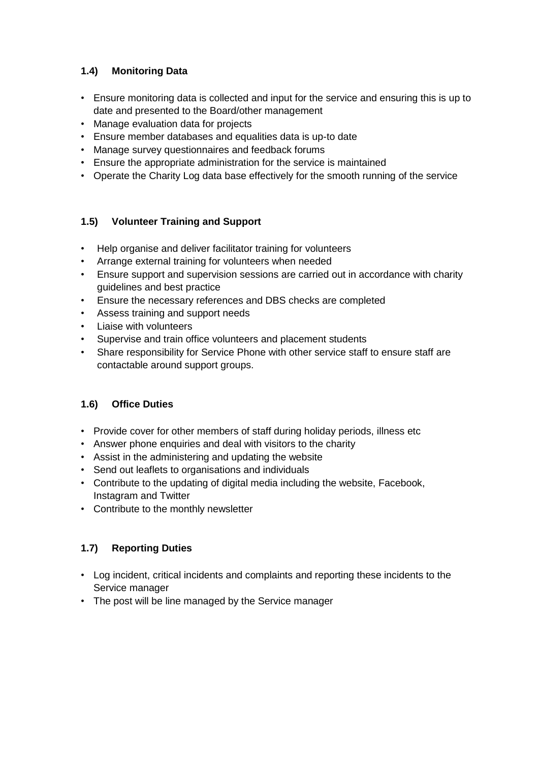## **1.4) Monitoring Data**

- Ensure monitoring data is collected and input for the service and ensuring this is up to date and presented to the Board/other management
- Manage evaluation data for projects
- Ensure member databases and equalities data is up-to date
- Manage survey questionnaires and feedback forums
- Ensure the appropriate administration for the service is maintained
- Operate the Charity Log data base effectively for the smooth running of the service

## **1.5) Volunteer Training and Support**

- Help organise and deliver facilitator training for volunteers
- Arrange external training for volunteers when needed
- Ensure support and supervision sessions are carried out in accordance with charity guidelines and best practice
- Ensure the necessary references and DBS checks are completed
- Assess training and support needs
- Liaise with volunteers
- Supervise and train office volunteers and placement students
- Share responsibility for Service Phone with other service staff to ensure staff are contactable around support groups.

# **1.6) Office Duties**

- Provide cover for other members of staff during holiday periods, illness etc
- Answer phone enquiries and deal with visitors to the charity
- Assist in the administering and updating the website
- Send out leaflets to organisations and individuals
- Contribute to the updating of digital media including the website, Facebook, Instagram and Twitter
- Contribute to the monthly newsletter

# **1.7) Reporting Duties**

- Log incident, critical incidents and complaints and reporting these incidents to the Service manager
- The post will be line managed by the Service manager